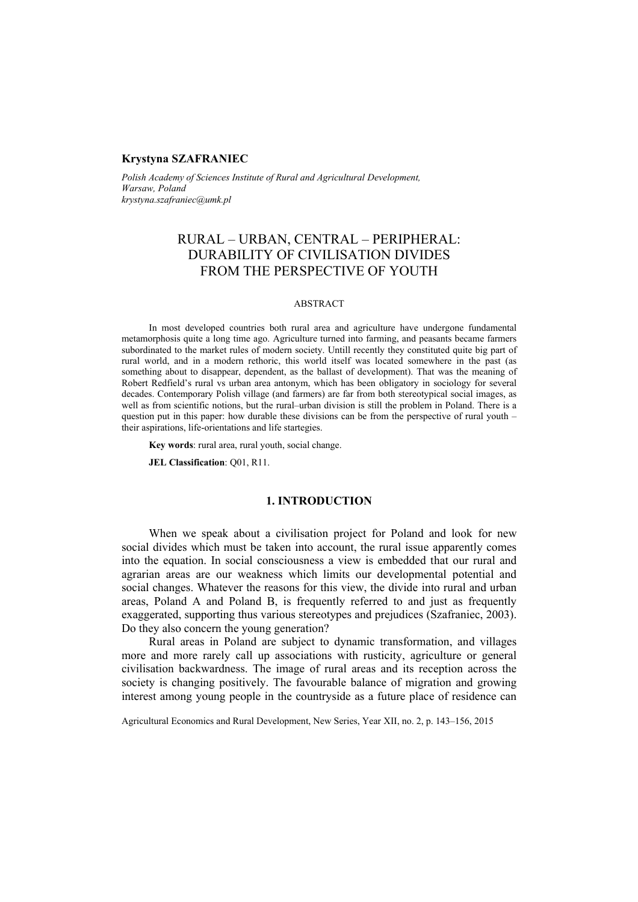## **Krystyna SZAFRANIEC**

*Polish Academy of Sciences Institute of Rural and Agricultural Development, Warsaw, Poland krystyna.szafraniec@umk.pl* 

# RURAL – URBAN, CENTRAL – PERIPHERAL: DURABILITY OF CIVILISATION DIVIDES FROM THE PERSPECTIVE OF YOUTH

#### ABSTRACT

In most developed countries both rural area and agriculture have undergone fundamental metamorphosis quite a long time ago. Agriculture turned into farming, and peasants became farmers subordinated to the market rules of modern society. Untill recently they constituted quite big part of rural world, and in a modern rethoric, this world itself was located somewhere in the past (as something about to disappear, dependent, as the ballast of development). That was the meaning of Robert Redfield's rural vs urban area antonym, which has been obligatory in sociology for several decades. Contemporary Polish village (and farmers) are far from both stereotypical social images, as well as from scientific notions, but the rural–urban division is still the problem in Poland. There is a question put in this paper: how durable these divisions can be from the perspective of rural youth – their aspirations, life-orientations and life startegies.

**Key words**: rural area, rural youth, social change.

**JEL Classification**: Q01, R11.

# **1. INTRODUCTION**

When we speak about a civilisation project for Poland and look for new social divides which must be taken into account, the rural issue apparently comes into the equation. In social consciousness a view is embedded that our rural and agrarian areas are our weakness which limits our developmental potential and social changes. Whatever the reasons for this view, the divide into rural and urban areas, Poland A and Poland B, is frequently referred to and just as frequently exaggerated, supporting thus various stereotypes and prejudices (Szafraniec, 2003). Do they also concern the young generation?

Rural areas in Poland are subject to dynamic transformation, and villages more and more rarely call up associations with rusticity, agriculture or general civilisation backwardness. The image of rural areas and its reception across the society is changing positively. The favourable balance of migration and growing interest among young people in the countryside as a future place of residence can

Agricultural Economics and Rural Development, New Series, Year XII, no. 2, p. 143–156, 2015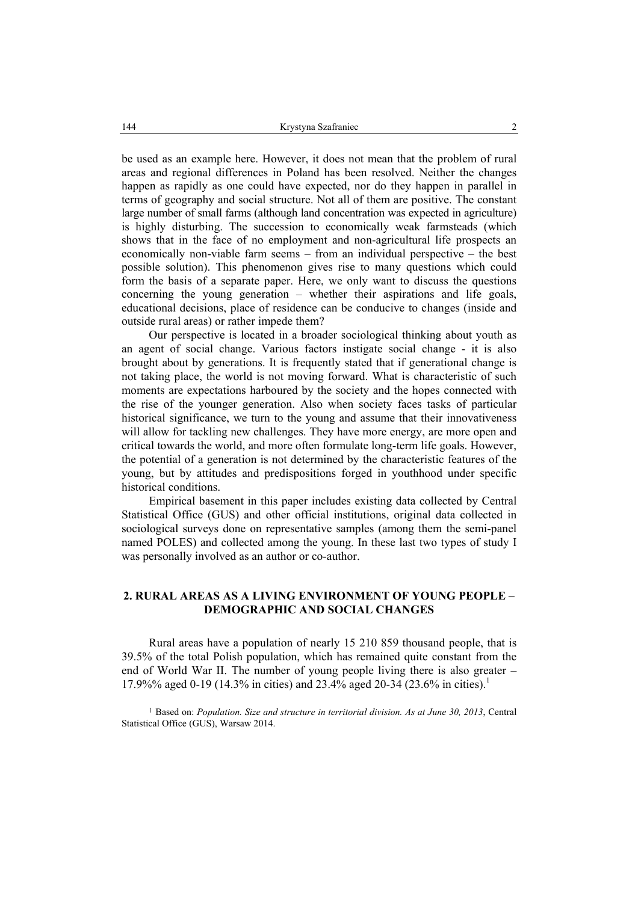be used as an example here. However, it does not mean that the problem of rural areas and regional differences in Poland has been resolved. Neither the changes happen as rapidly as one could have expected, nor do they happen in parallel in terms of geography and social structure. Not all of them are positive. The constant large number of small farms (although land concentration was expected in agriculture) is highly disturbing. The succession to economically weak farmsteads (which shows that in the face of no employment and non-agricultural life prospects an economically non-viable farm seems – from an individual perspective – the best possible solution). This phenomenon gives rise to many questions which could form the basis of a separate paper. Here, we only want to discuss the questions concerning the young generation – whether their aspirations and life goals, educational decisions, place of residence can be conducive to changes (inside and outside rural areas) or rather impede them?

Our perspective is located in a broader sociological thinking about youth as an agent of social change. Various factors instigate social change - it is also brought about by generations. It is frequently stated that if generational change is not taking place, the world is not moving forward. What is characteristic of such moments are expectations harboured by the society and the hopes connected with the rise of the younger generation. Also when society faces tasks of particular historical significance, we turn to the young and assume that their innovativeness will allow for tackling new challenges. They have more energy, are more open and critical towards the world, and more often formulate long-term life goals. However, the potential of a generation is not determined by the characteristic features of the young, but by attitudes and predispositions forged in youthhood under specific historical conditions.

Empirical basement in this paper includes existing data collected by Central Statistical Office (GUS) and other official institutions, original data collected in sociological surveys done on representative samples (among them the semi-panel named POLES) and collected among the young. In these last two types of study I was personally involved as an author or co-author.

# **2. RURAL AREAS AS A LIVING ENVIRONMENT OF YOUNG PEOPLE – DEMOGRAPHIC AND SOCIAL CHANGES**

Rural areas have a population of nearly 15 210 859 thousand people, that is 39.5% of the total Polish population, which has remained quite constant from the end of World War II. The number of young people living there is also greater – 17.9%% aged 0-19 (14.3% in cities) and 23.4% aged 20-34 (23.6% in cities).<sup>1</sup>

<sup>1</sup> Based on: *Population. Size and structure in territorial division. As at June 30, 2013*, Central Statistical Office (GUS), Warsaw 2014.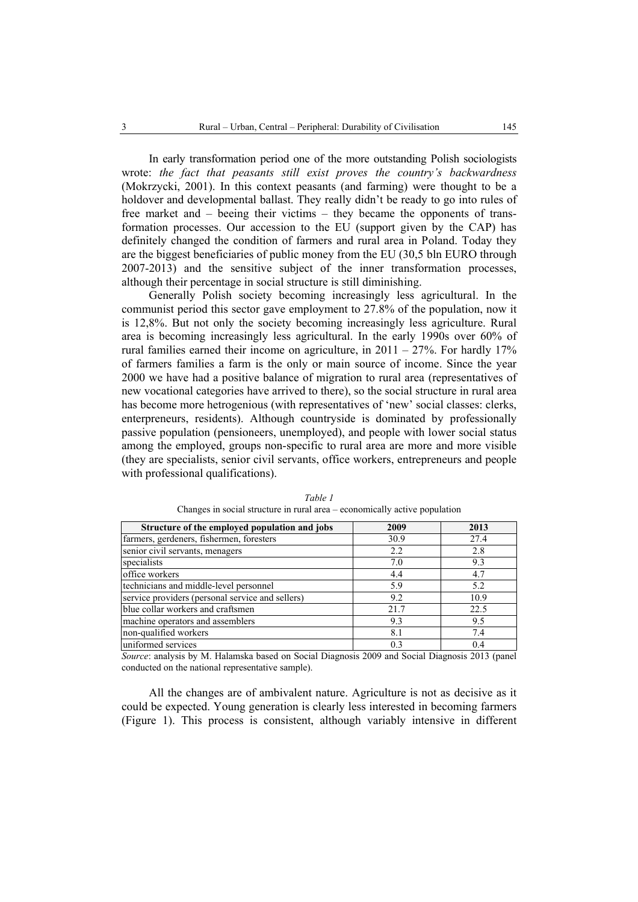In early transformation period one of the more outstanding Polish sociologists wrote: *the fact that peasants still exist proves the country's backwardness*  (Mokrzycki, 2001). In this context peasants (and farming) were thought to be a holdover and developmental ballast. They really didn't be ready to go into rules of free market and – beeing their victims – they became the opponents of transformation processes. Our accession to the EU (support given by the CAP) has definitely changed the condition of farmers and rural area in Poland. Today they are the biggest beneficiaries of public money from the EU (30,5 bln EURO through 2007-2013) and the sensitive subject of the inner transformation processes, although their percentage in social structure is still diminishing.

Generally Polish society becoming increasingly less agricultural. In the communist period this sector gave employment to 27.8% of the population, now it is 12,8%. But not only the society becoming increasingly less agriculture. Rural area is becoming increasingly less agricultural. In the early 1990s over 60% of rural families earned their income on agriculture, in  $2011 - 27\%$ . For hardly 17% of farmers families a farm is the only or main source of income. Since the year 2000 we have had a positive balance of migration to rural area (representatives of new vocational categories have arrived to there), so the social structure in rural area has become more hetrogenious (with representatives of 'new' social classes: clerks, enterpreneurs, residents). Although countryside is dominated by professionally passive population (pensioneers, unemployed), and people with lower social status among the employed, groups non-specific to rural area are more and more visible (they are specialists, senior civil servants, office workers, entrepreneurs and people with professional qualifications).

| Structure of the employed population and jobs    | 2009 | 2013 |
|--------------------------------------------------|------|------|
| farmers, gerdeners, fishermen, foresters         | 30.9 | 27.4 |
| senior civil servants, menagers                  | 2.2  | 2.8  |
| specialists                                      | 7.0  | 9.3  |
| office workers                                   | 4.4  | 4.7  |
| technicians and middle-level personnel           | 5.9  | 5.2  |
| service providers (personal service and sellers) | 9.2  | 10.9 |
| blue collar workers and craftsmen                | 21.7 | 22.5 |
| machine operators and assemblers                 | 9.3  | 9.5  |
| non-qualified workers                            | 8.1  | 7.4  |
| uniformed services                               | 0.3  | 0.4  |

*Table 1*  Changes in social structure in rural area – economically active population

*Source*: analysis by M. Halamska based on Social Diagnosis 2009 and Social Diagnosis 2013 (panel conducted on the national representative sample).

All the changes are of ambivalent nature. Agriculture is not as decisive as it could be expected. Young generation is clearly less interested in becoming farmers (Figure 1). This process is consistent, although variably intensive in different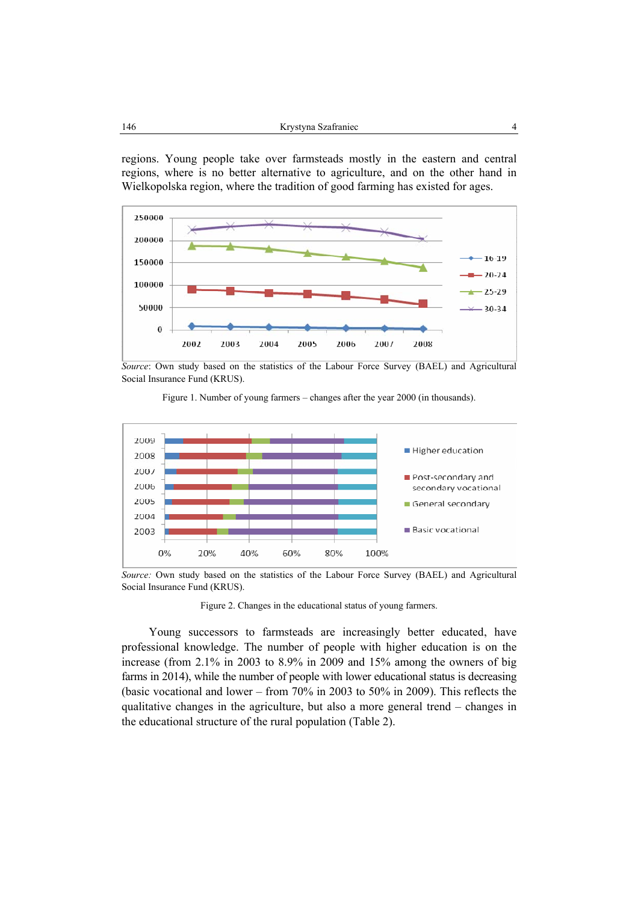regions. Young people take over farmsteads mostly in the eastern and central regions, where is no better alternative to agriculture, and on the other hand in Wielkopolska region, where the tradition of good farming has existed for ages.



*Source*: Own study based on the statistics of the Labour Force Survey (BAEL) and Agricultural Social Insurance Fund (KRUS).

Figure 1. Number of young farmers – changes after the year 2000 (in thousands).



*Source:* Own study based on the statistics of the Labour Force Survey (BAEL) and Agricultural Social Insurance Fund (KRUS).

Figure 2. Changes in the educational status of young farmers.

Young successors to farmsteads are increasingly better educated, have professional knowledge. The number of people with higher education is on the increase (from 2.1% in 2003 to 8.9% in 2009 and 15% among the owners of big farms in 2014), while the number of people with lower educational status is decreasing (basic vocational and lower – from 70% in 2003 to 50% in 2009). This reflects the qualitative changes in the agriculture, but also a more general trend – changes in the educational structure of the rural population (Table 2).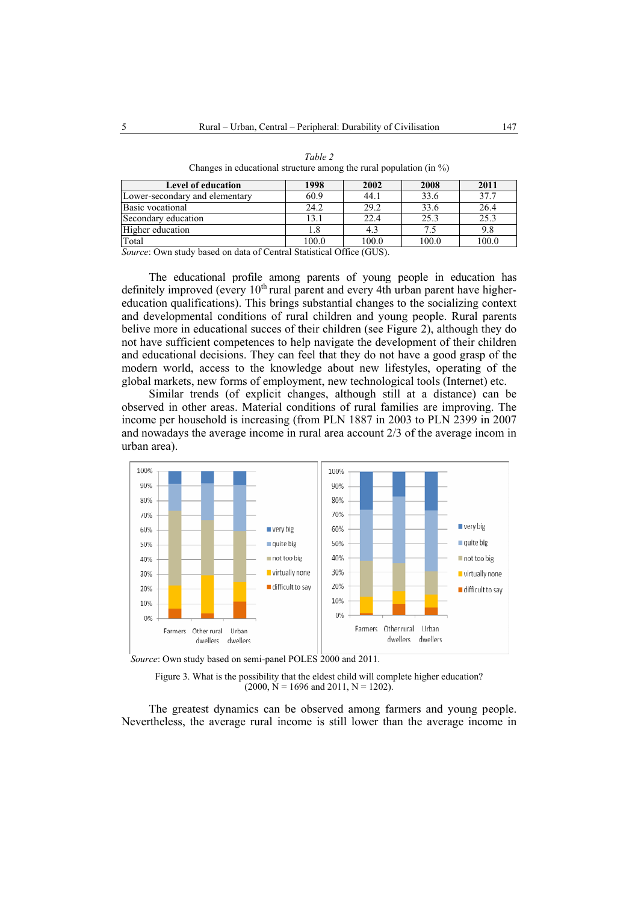| Level of education             | 1998  | 2002  | 2008  | 2011  |
|--------------------------------|-------|-------|-------|-------|
| Lower-secondary and elementary | 60.9  | 44.1  | 33.6  | 37.7  |
| Basic vocational               | 24.2  | 29.2  | 33.6  | 26.4  |
| Secondary education            | 13.1  | 22.4  | 25.3  | 25.3  |
| Higher education               | 1.8   |       | 7.5   |       |
| Total                          | 100.0 | 100.0 | 100.0 | 100.0 |

*Table 2*  Changes in educational structure among the rural population (in %)

*Source*: Own study based on data of Central Statistical Office (GUS).

The educational profile among parents of young people in education has definitely improved (every  $10<sup>th</sup>$  rural parent and every 4th urban parent have highereducation qualifications). This brings substantial changes to the socializing context and developmental conditions of rural children and young people. Rural parents belive more in educational succes of their children (see Figure 2), although they do not have sufficient competences to help navigate the development of their children and educational decisions. They can feel that they do not have a good grasp of the modern world, access to the knowledge about new lifestyles, operating of the global markets, new forms of employment, new technological tools (Internet) etc.

Similar trends (of explicit changes, although still at a distance) can be observed in other areas. Material conditions of rural families are improving. The income per household is increasing (from PLN 1887 in 2003 to PLN 2399 in 2007 and nowadays the average income in rural area account 2/3 of the average incom in urban area).



*Source*: Own study based on semi-panel POLES 2000 and 2011.

Figure 3. What is the possibility that the eldest child will complete higher education?  $(2000, N = 1696 \text{ and } 2011, N = 1202).$ 

The greatest dynamics can be observed among farmers and young people. Nevertheless, the average rural income is still lower than the average income in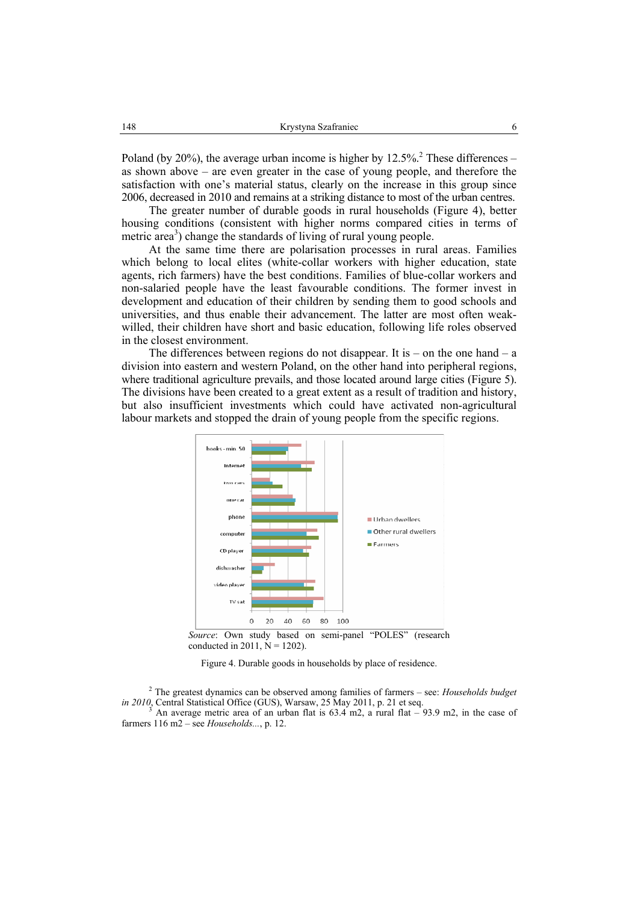Poland (by 20%), the average urban income is higher by  $12.5\%$ <sup>2</sup>. These differences – as shown above – are even greater in the case of young people, and therefore the satisfaction with one's material status, clearly on the increase in this group since 2006, decreased in 2010 and remains at a striking distance to most of the urban centres.

The greater number of durable goods in rural households (Figure 4), better housing conditions (consistent with higher norms compared cities in terms of metric area<sup>3</sup>) change the standards of living of rural young people.

At the same time there are polarisation processes in rural areas. Families which belong to local elites (white-collar workers with higher education, state agents, rich farmers) have the best conditions. Families of blue-collar workers and non-salaried people have the least favourable conditions. The former invest in development and education of their children by sending them to good schools and universities, and thus enable their advancement. The latter are most often weakwilled, their children have short and basic education, following life roles observed in the closest environment.

The differences between regions do not disappear. It is – on the one hand – a division into eastern and western Poland, on the other hand into peripheral regions, where traditional agriculture prevails, and those located around large cities (Figure 5). The divisions have been created to a great extent as a result of tradition and history, but also insufficient investments which could have activated non-agricultural labour markets and stopped the drain of young people from the specific regions.



*Source*: Own study based on semi-panel "POLES" (research conducted in 2011,  $N = 1202$ ).

Figure 4. Durable goods in households by place of residence.

2 The greatest dynamics can be observed among families of farmers – see: *Households budget in 2010*, Central Statistical Office (GUS), Warsaw, 25 May 2011, p. 21 et seq.

An average metric area of an urban flat is  $63.4 \text{ m2}$ , a rural flat – 93.9 m2, in the case of farmers 116 m2 – see *Households...*, p. 12.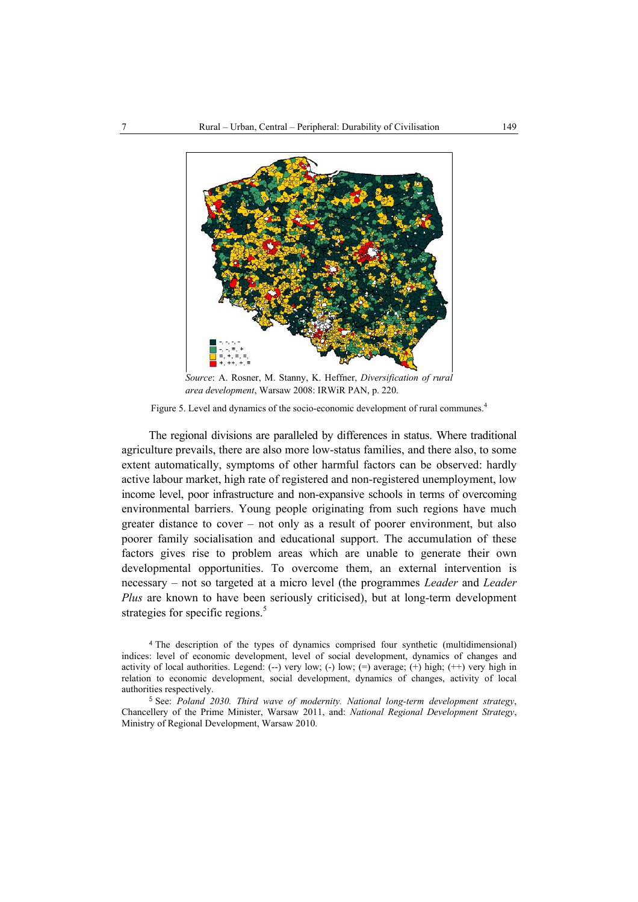

*Source*: A. Rosner, M. Stanny, K. Heffner, *Diversification of rural area development*, Warsaw 2008: IRWiR PAN, p. 220.

Figure 5. Level and dynamics of the socio-economic development of rural communes.<sup>4</sup>

The regional divisions are paralleled by differences in status. Where traditional agriculture prevails, there are also more low-status families, and there also, to some extent automatically, symptoms of other harmful factors can be observed: hardly active labour market, high rate of registered and non-registered unemployment, low income level, poor infrastructure and non-expansive schools in terms of overcoming environmental barriers. Young people originating from such regions have much greater distance to cover – not only as a result of poorer environment, but also poorer family socialisation and educational support. The accumulation of these factors gives rise to problem areas which are unable to generate their own developmental opportunities. To overcome them, an external intervention is necessary – not so targeted at a micro level (the programmes *Leader* and *Leader Plus* are known to have been seriously criticised), but at long-term development strategies for specific regions.<sup>5</sup>

<sup>4</sup> The description of the types of dynamics comprised four synthetic (multidimensional) indices: level of economic development, level of social development, dynamics of changes and activity of local authorities. Legend:  $(-)$  very low;  $(-)$  low;  $(=)$  average;  $(+)$  high;  $(+)$  very high in relation to economic development, social development, dynamics of changes, activity of local authorities respectively.

<sup>5</sup> See: *Poland 2030. Third wave of modernity. National long-term development strategy*, Chancellery of the Prime Minister, Warsaw 2011, and: *National Regional Development Strategy*, Ministry of Regional Development, Warsaw 2010.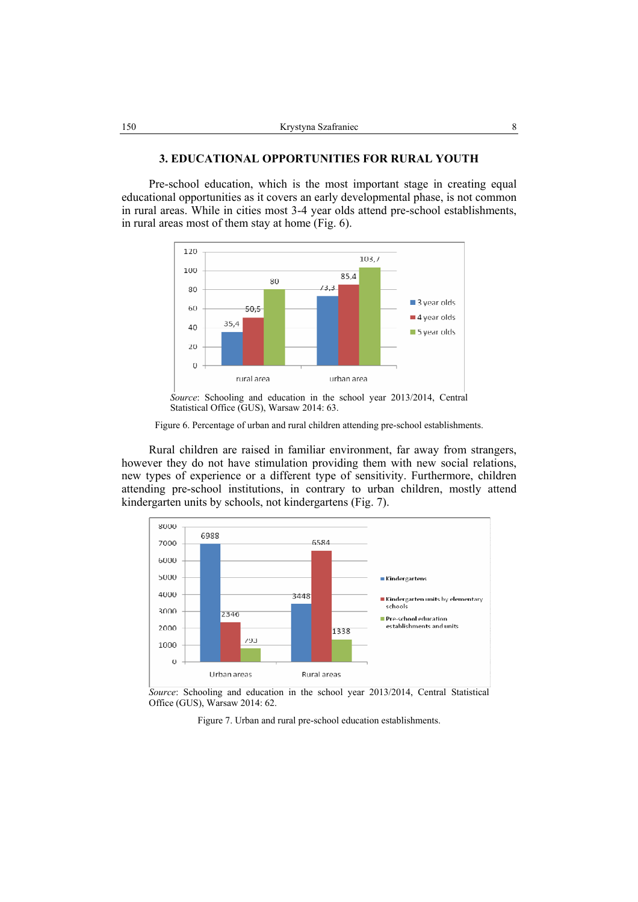## **3. EDUCATIONAL OPPORTUNITIES FOR RURAL YOUTH**

Pre-school education, which is the most important stage in creating equal educational opportunities as it covers an early developmental phase, is not common in rural areas. While in cities most 3-4 year olds attend pre-school establishments, in rural areas most of them stay at home (Fig. 6).



*Source*: Schooling and education in the school year 2013/2014, Central Statistical Office (GUS), Warsaw 2014: 63.

Figure 6. Percentage of urban and rural children attending pre-school establishments.

Rural children are raised in familiar environment, far away from strangers, however they do not have stimulation providing them with new social relations, new types of experience or a different type of sensitivity. Furthermore, children attending pre-school institutions, in contrary to urban children, mostly attend kindergarten units by schools, not kindergartens (Fig. 7).



*Source*: Schooling and education in the school year 2013/2014, Central Statistical Office (GUS), Warsaw 2014: 62.

Figure 7. Urban and rural pre-school education establishments.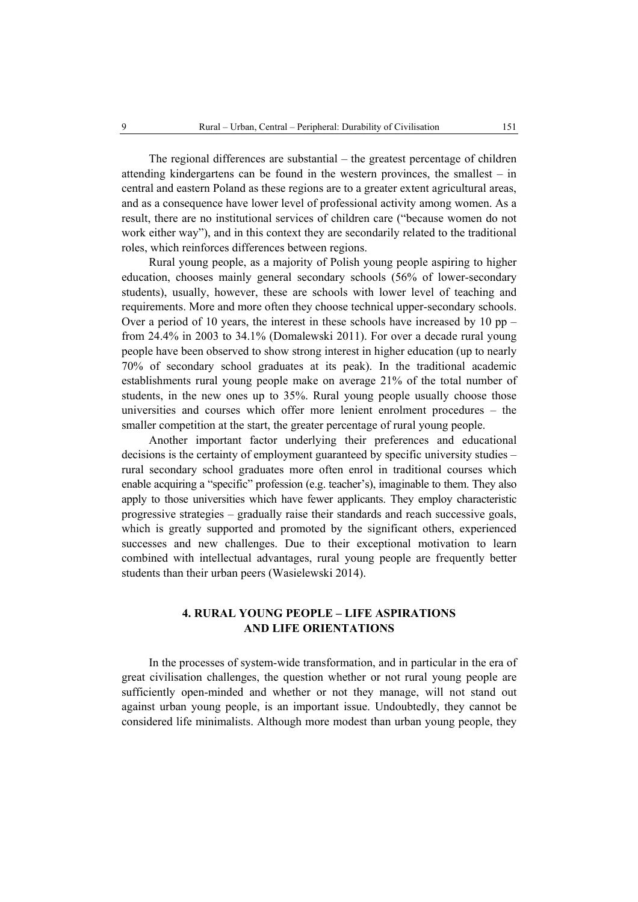The regional differences are substantial – the greatest percentage of children attending kindergartens can be found in the western provinces, the smallest – in central and eastern Poland as these regions are to a greater extent agricultural areas, and as a consequence have lower level of professional activity among women. As a result, there are no institutional services of children care ("because women do not work either way"), and in this context they are secondarily related to the traditional roles, which reinforces differences between regions.

Rural young people, as a majority of Polish young people aspiring to higher education, chooses mainly general secondary schools (56% of lower-secondary students), usually, however, these are schools with lower level of teaching and requirements. More and more often they choose technical upper-secondary schools. Over a period of 10 years, the interest in these schools have increased by 10 pp – from 24.4% in 2003 to 34.1% (Domalewski 2011). For over a decade rural young people have been observed to show strong interest in higher education (up to nearly 70% of secondary school graduates at its peak). In the traditional academic establishments rural young people make on average 21% of the total number of students, in the new ones up to 35%. Rural young people usually choose those universities and courses which offer more lenient enrolment procedures – the smaller competition at the start, the greater percentage of rural young people.

Another important factor underlying their preferences and educational decisions is the certainty of employment guaranteed by specific university studies – rural secondary school graduates more often enrol in traditional courses which enable acquiring a "specific" profession (e.g. teacher's), imaginable to them. They also apply to those universities which have fewer applicants. They employ characteristic progressive strategies – gradually raise their standards and reach successive goals, which is greatly supported and promoted by the significant others, experienced successes and new challenges. Due to their exceptional motivation to learn combined with intellectual advantages, rural young people are frequently better students than their urban peers (Wasielewski 2014).

# **4. RURAL YOUNG PEOPLE – LIFE ASPIRATIONS AND LIFE ORIENTATIONS**

In the processes of system-wide transformation, and in particular in the era of great civilisation challenges, the question whether or not rural young people are sufficiently open-minded and whether or not they manage, will not stand out against urban young people, is an important issue. Undoubtedly, they cannot be considered life minimalists. Although more modest than urban young people, they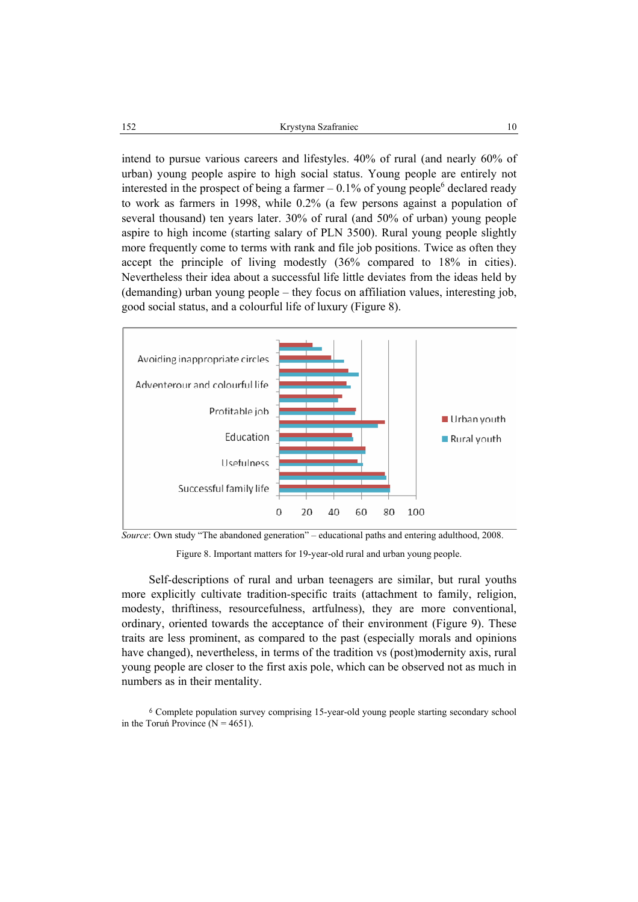intend to pursue various careers and lifestyles. 40% of rural (and nearly 60% of urban) young people aspire to high social status. Young people are entirely not interested in the prospect of being a farmer  $-0.1\%$  of young people<sup>6</sup> declared ready to work as farmers in 1998, while 0.2% (a few persons against a population of several thousand) ten years later. 30% of rural (and 50% of urban) young people aspire to high income (starting salary of PLN 3500). Rural young people slightly more frequently come to terms with rank and file job positions. Twice as often they accept the principle of living modestly (36% compared to 18% in cities). Nevertheless their idea about a successful life little deviates from the ideas held by (demanding) urban young people – they focus on affiliation values, interesting job, good social status, and a colourful life of luxury (Figure 8).



*Source*: Own study "The abandoned generation" – educational paths and entering adulthood, 2008.

Figure 8. Important matters for 19-year-old rural and urban young people.

Self-descriptions of rural and urban teenagers are similar, but rural youths more explicitly cultivate tradition-specific traits (attachment to family, religion, modesty, thriftiness, resourcefulness, artfulness), they are more conventional, ordinary, oriented towards the acceptance of their environment (Figure 9). These traits are less prominent, as compared to the past (especially morals and opinions have changed), nevertheless, in terms of the tradition vs (post)modernity axis, rural young people are closer to the first axis pole, which can be observed not as much in numbers as in their mentality.

<sup>6</sup> Complete population survey comprising 15-year-old young people starting secondary school in the Toruń Province ( $N = 4651$ ).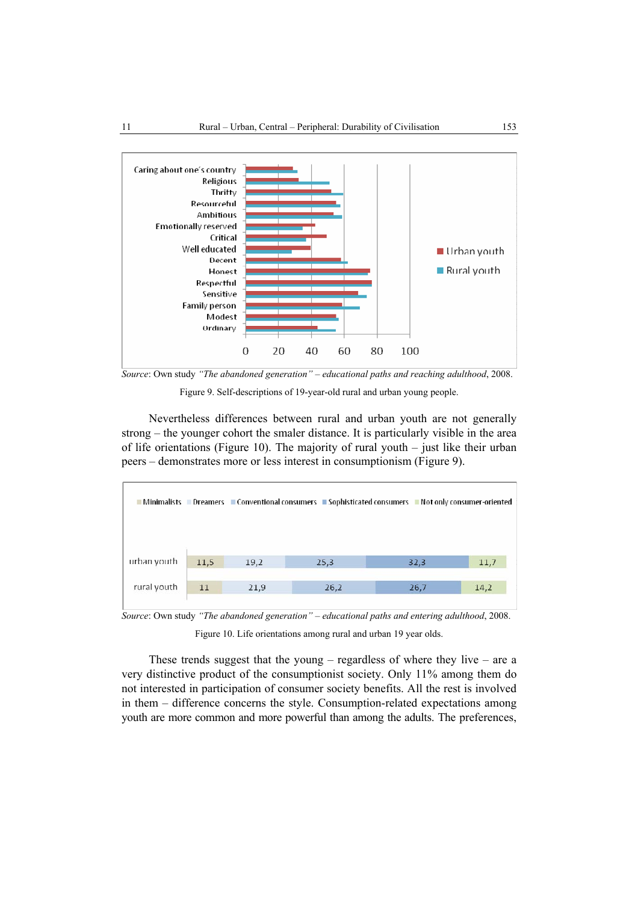

*Source*: Own study *"The abandoned generation" – educational paths and reaching adulthood*, 2008.

Figure 9. Self-descriptions of 19-year-old rural and urban young people.

Nevertheless differences between rural and urban youth are not generally strong – the younger cohort the smaler distance. It is particularly visible in the area of life orientations (Figure 10). The majority of rural youth – just like their urban peers – demonstrates more or less interest in consumptionism (Figure 9).



*Source*: Own study *"The abandoned generation" – educational paths and entering adulthood*, 2008.

Figure 10. Life orientations among rural and urban 19 year olds.

These trends suggest that the young – regardless of where they live – are a very distinctive product of the consumptionist society. Only 11% among them do not interested in participation of consumer society benefits. All the rest is involved in them – difference concerns the style. Consumption-related expectations among youth are more common and more powerful than among the adults. The preferences,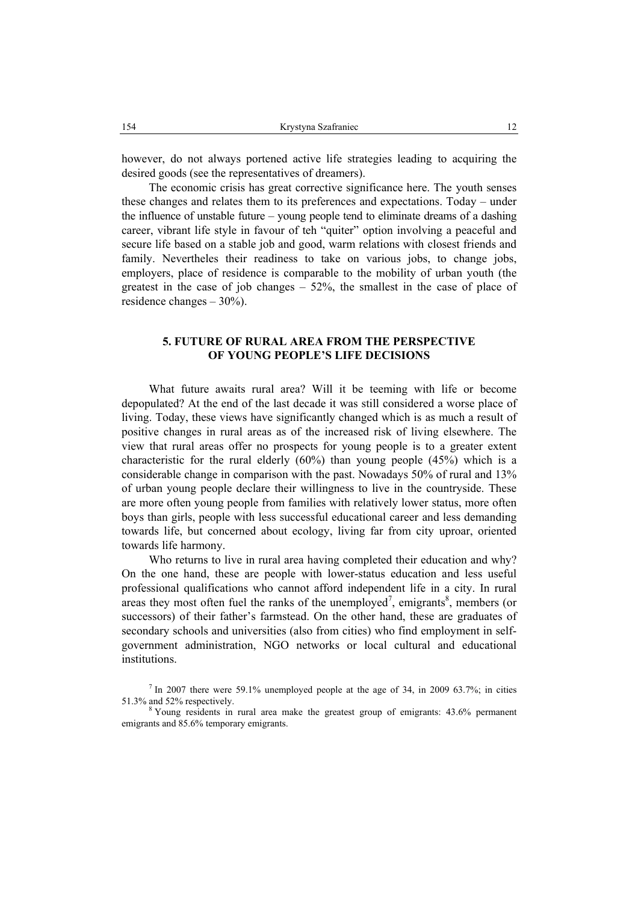however, do not always portened active life strategies leading to acquiring the desired goods (see the representatives of dreamers).

The economic crisis has great corrective significance here. The youth senses these changes and relates them to its preferences and expectations. Today – under the influence of unstable future – young people tend to eliminate dreams of a dashing career, vibrant life style in favour of teh "quiter" option involving a peaceful and secure life based on a stable job and good, warm relations with closest friends and family. Nevertheles their readiness to take on various jobs, to change jobs, employers, place of residence is comparable to the mobility of urban youth (the greatest in the case of job changes  $-52\%$ , the smallest in the case of place of residence changes – 30%).

# **5. FUTURE OF RURAL AREA FROM THE PERSPECTIVE OF YOUNG PEOPLE'S LIFE DECISIONS**

What future awaits rural area? Will it be teeming with life or become depopulated? At the end of the last decade it was still considered a worse place of living. Today, these views have significantly changed which is as much a result of positive changes in rural areas as of the increased risk of living elsewhere. The view that rural areas offer no prospects for young people is to a greater extent characteristic for the rural elderly (60%) than young people (45%) which is a considerable change in comparison with the past. Nowadays 50% of rural and 13% of urban young people declare their willingness to live in the countryside. These are more often young people from families with relatively lower status, more often boys than girls, people with less successful educational career and less demanding towards life, but concerned about ecology, living far from city uproar, oriented towards life harmony.

Who returns to live in rural area having completed their education and why? On the one hand, these are people with lower-status education and less useful professional qualifications who cannot afford independent life in a city. In rural areas they most often fuel the ranks of the unemployed<sup>7</sup>, emigrants<sup>8</sup>, members (or successors) of their father's farmstead. On the other hand, these are graduates of secondary schools and universities (also from cities) who find employment in selfgovernment administration, NGO networks or local cultural and educational institutions.

<sup>&</sup>lt;sup>7</sup> In 2007 there were 59.1% unemployed people at the age of 34, in 2009 63.7%; in cities 51.3% and 52% respectively.

Young residents in rural area make the greatest group of emigrants: 43.6% permanent emigrants and 85.6% temporary emigrants.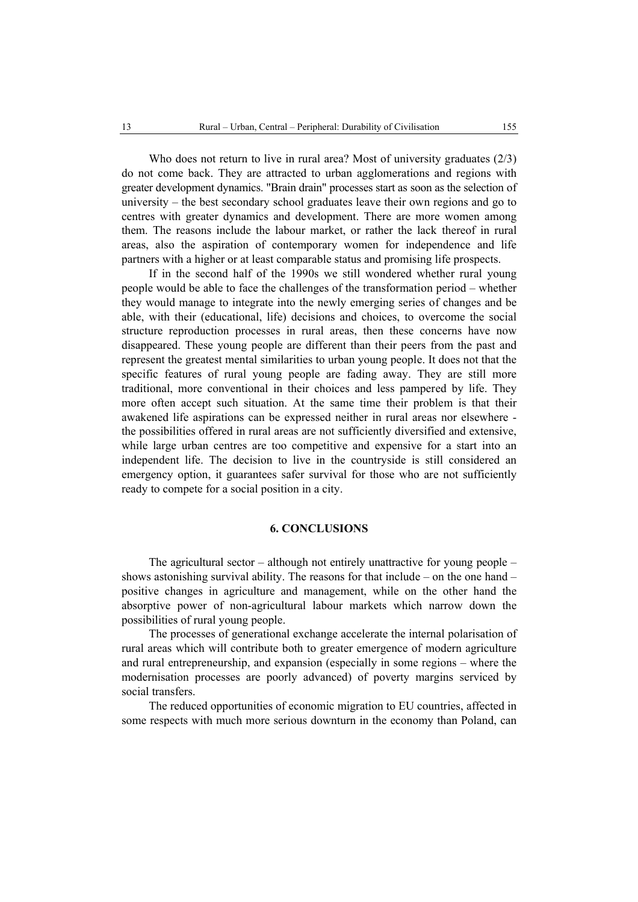Who does not return to live in rural area? Most of university graduates (2/3) do not come back. They are attracted to urban agglomerations and regions with greater development dynamics. "Brain drain" processes start as soon as the selection of university – the best secondary school graduates leave their own regions and go to centres with greater dynamics and development. There are more women among them. The reasons include the labour market, or rather the lack thereof in rural areas, also the aspiration of contemporary women for independence and life partners with a higher or at least comparable status and promising life prospects.

If in the second half of the 1990s we still wondered whether rural young people would be able to face the challenges of the transformation period – whether they would manage to integrate into the newly emerging series of changes and be able, with their (educational, life) decisions and choices, to overcome the social structure reproduction processes in rural areas, then these concerns have now disappeared. These young people are different than their peers from the past and represent the greatest mental similarities to urban young people. It does not that the specific features of rural young people are fading away. They are still more traditional, more conventional in their choices and less pampered by life. They more often accept such situation. At the same time their problem is that their awakened life aspirations can be expressed neither in rural areas nor elsewhere the possibilities offered in rural areas are not sufficiently diversified and extensive, while large urban centres are too competitive and expensive for a start into an independent life. The decision to live in the countryside is still considered an emergency option, it guarantees safer survival for those who are not sufficiently ready to compete for a social position in a city.

### **6. CONCLUSIONS**

The agricultural sector – although not entirely unattractive for young people – shows astonishing survival ability. The reasons for that include – on the one hand – positive changes in agriculture and management, while on the other hand the absorptive power of non-agricultural labour markets which narrow down the possibilities of rural young people.

The processes of generational exchange accelerate the internal polarisation of rural areas which will contribute both to greater emergence of modern agriculture and rural entrepreneurship, and expansion (especially in some regions – where the modernisation processes are poorly advanced) of poverty margins serviced by social transfers.

The reduced opportunities of economic migration to EU countries, affected in some respects with much more serious downturn in the economy than Poland, can